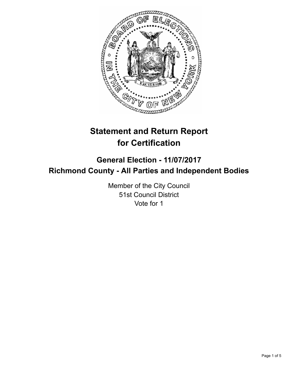

# **Statement and Return Report for Certification**

# **General Election - 11/07/2017 Richmond County - All Parties and Independent Bodies**

Member of the City Council 51st Council District Vote for 1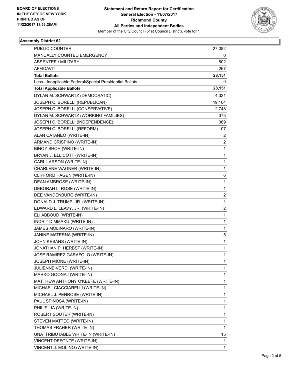

## **Assembly District 62**

| <b>PUBLIC COUNTER</b>                                    | 27,082                  |
|----------------------------------------------------------|-------------------------|
| MANUALLY COUNTED EMERGENCY                               | 0                       |
| ABSENTEE / MILITARY                                      | 802                     |
| <b>AFFIDAVIT</b>                                         | 267                     |
| <b>Total Ballots</b>                                     | 28,151                  |
| Less - Inapplicable Federal/Special Presidential Ballots | 0                       |
| <b>Total Applicable Ballots</b>                          | 28,151                  |
| DYLAN M. SCHWARTZ (DEMOCRATIC)                           | 4,331                   |
| JOSEPH C. BORELLI (REPUBLICAN)                           | 19,104                  |
| JOSEPH C. BORELLI (CONSERVATIVE)                         | 2,748                   |
| DYLAN M. SCHWARTZ (WORKING FAMILIES)                     | 375                     |
| JOSEPH C. BORELLI (INDEPENDENCE)                         | 369                     |
| JOSEPH C. BORELLI (REFORM)                               | 107                     |
| ALAN CATANEO (WRITE-IN)                                  | 2                       |
| ARMAND CRISPINO (WRITE-IN)                               | 2                       |
| BINOY SHOH (WRITE-IN)                                    | 1                       |
| BRYAN J. ELLICOTT (WRITE-IN)                             | $\mathbf{1}$            |
| CARL LARSON (WRITE-IN)                                   | 1                       |
| CHARLENE WAGNER (WRITE-IN)                               | 1                       |
| CLIFFORD HAGEN (WRITE-IN)                                | 6                       |
| DEAN AMBROSE (WRITE-IN)                                  | 1                       |
| DEBORAH L. ROSE (WRITE-IN)                               | 1                       |
| DEE VANDENBURG (WRITE-IN)                                | 2                       |
| DONALD J. TRUMP, JR. (WRITE-IN)                          | 1                       |
| EDWARD L. LEAVY, JR. (WRITE-IN)                          | $\overline{\mathbf{c}}$ |
| ELI ABBOUD (WRITE-IN)                                    | 1                       |
| INDRIT DIMMAKU (WRITE-IN)                                | 1                       |
| JAMES MOLINARO (WRITE-IN)                                | 1                       |
| JANINE MATERNA (WRITE-IN)                                | 5                       |
| JOHN KESANS (WRITE-IN)                                   | 1                       |
| JONATHAN P. HERBST (WRITE-IN)                            | 1                       |
| JOSE RAMIREZ GARAFOLO (WRITE-IN)                         | 1                       |
| JOSEPH MIONE (WRITE-IN)                                  | 1                       |
| JULIENNE VERDI (WRITE-IN)                                | 1                       |
| MARKO GOONAJ (WRITE-IN)                                  | 1                       |
| MATTHEW ANTHONY O'KEEFE (WRITE-IN)                       | 1                       |
| MICHAEL CIACCIARELLI (WRITE-IN)                          | 1                       |
| MICHAEL J. PENROSE (WRITE-IN)                            | 1                       |
| PAUL SPINOSA (WRITE-IN)                                  | 1                       |
| PHILIP LIA (WRITE-IN)                                    | 1                       |
| ROBERT SOUTER (WRITE-IN)                                 | 1                       |
| STEVEN MATTEO (WRITE-IN)                                 | 1                       |
| THOMAS FRAHER (WRITE-IN)                                 | $\mathbf{1}$            |
| UNATTRIBUTABLE WRITE-IN (WRITE-IN)                       | 15                      |
| VINCENT DEFONTE (WRITE-IN)                               | 1                       |
| VINCENT J. MOLINO (WRITE-IN)                             | 1                       |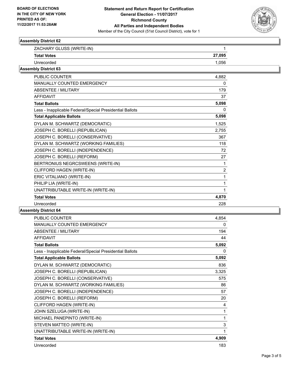

## **Assembly District 62**

| ZACHARY GLUSS (WRITE-IN)<br><b>Total Votes</b>           | 1              |
|----------------------------------------------------------|----------------|
|                                                          | 27,095         |
| Unrecorded                                               | 1,056          |
| <b>Assembly District 63</b>                              |                |
| <b>PUBLIC COUNTER</b>                                    | 4,882          |
| MANUALLY COUNTED EMERGENCY                               | 0              |
| <b>ABSENTEE / MILITARY</b>                               | 179            |
| <b>AFFIDAVIT</b>                                         | 37             |
| <b>Total Ballots</b>                                     | 5,098          |
| Less - Inapplicable Federal/Special Presidential Ballots | 0              |
| <b>Total Applicable Ballots</b>                          | 5,098          |
| DYLAN M. SCHWARTZ (DEMOCRATIC)                           | 1,525          |
| JOSEPH C. BORELLI (REPUBLICAN)                           | 2,755          |
| JOSEPH C. BORELLI (CONSERVATIVE)                         | 367            |
| DYLAN M. SCHWARTZ (WORKING FAMILIES)                     | 118            |
| JOSEPH C. BORELLI (INDEPENDENCE)                         | 72             |
| JOSEPH C. BORELLI (REFORM)                               | 27             |
| BERTRONIUS NEGRCSWEENS (WRITE-IN)                        | 1              |
| CLIFFORD HAGEN (WRITE-IN)                                | $\overline{2}$ |
| ERIC VITALIANO (WRITE-IN)                                |                |
| PHILIP LIA (WRITE-IN)                                    |                |
| UNATTRIBUTABLE WRITE-IN (WRITE-IN)                       |                |
| <b>Total Votes</b>                                       | 4,870          |
| Unrecorded                                               | 228            |

#### **Assembly District 64**

| <b>PUBLIC COUNTER</b>                                    | 4,854 |
|----------------------------------------------------------|-------|
| <b>MANUALLY COUNTED EMERGENCY</b>                        | 0     |
| <b>ABSENTEE / MILITARY</b>                               | 194   |
| <b>AFFIDAVIT</b>                                         | 44    |
| <b>Total Ballots</b>                                     | 5,092 |
| Less - Inapplicable Federal/Special Presidential Ballots | 0     |
| <b>Total Applicable Ballots</b>                          | 5,092 |
| DYLAN M. SCHWARTZ (DEMOCRATIC)                           | 836   |
| JOSEPH C. BORELLI (REPUBLICAN)                           | 3,325 |
| JOSEPH C. BORELLI (CONSERVATIVE)                         | 575   |
| DYLAN M. SCHWARTZ (WORKING FAMILIES)                     | 86    |
| JOSEPH C. BORELLI (INDEPENDENCE)                         | 57    |
| JOSEPH C. BORELLI (REFORM)                               | 20    |
| CLIFFORD HAGEN (WRITE-IN)                                | 4     |
| JOHN SZELUGA (WRITE-IN)                                  | 1     |
| MICHAEL PANEPINTO (WRITE-IN)                             | 1     |
| STEVEN MATTEO (WRITE-IN)                                 | 3     |
| UNATTRIBUTABLE WRITE-IN (WRITE-IN)                       | 1     |
| <b>Total Votes</b>                                       | 4,909 |
| Unrecorded                                               | 183   |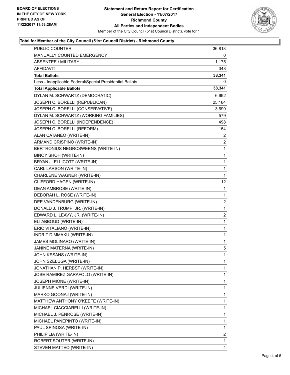

## **Total for Member of the City Council (51st Council District) - Richmond County**

| <b>PUBLIC COUNTER</b>                                    | 36,818       |
|----------------------------------------------------------|--------------|
| MANUALLY COUNTED EMERGENCY                               | 0            |
| <b>ABSENTEE / MILITARY</b>                               | 1,175        |
| AFFIDAVIT                                                | 348          |
| <b>Total Ballots</b>                                     | 38,341       |
| Less - Inapplicable Federal/Special Presidential Ballots | 0            |
| <b>Total Applicable Ballots</b>                          | 38,341       |
| DYLAN M. SCHWARTZ (DEMOCRATIC)                           | 6,692        |
| JOSEPH C. BORELLI (REPUBLICAN)                           | 25,184       |
| JOSEPH C. BORELLI (CONSERVATIVE)                         | 3,690        |
| DYLAN M. SCHWARTZ (WORKING FAMILIES)                     | 579          |
| JOSEPH C. BORELLI (INDEPENDENCE)                         | 498          |
| JOSEPH C. BORELLI (REFORM)                               | 154          |
| ALAN CATANEO (WRITE-IN)                                  | 2            |
| ARMAND CRISPINO (WRITE-IN)                               | 2            |
| BERTRONIUS NEGRCSWEENS (WRITE-IN)                        | 1            |
| <b>BINOY SHOH (WRITE-IN)</b>                             | 1            |
| BRYAN J. ELLICOTT (WRITE-IN)                             | 1            |
| CARL LARSON (WRITE-IN)                                   | $\mathbf{1}$ |
| CHARLENE WAGNER (WRITE-IN)                               | 1            |
| CLIFFORD HAGEN (WRITE-IN)                                | 12           |
| DEAN AMBROSE (WRITE-IN)                                  | 1            |
| DEBORAH L. ROSE (WRITE-IN)                               | 1            |
| DEE VANDENBURG (WRITE-IN)                                | 2            |
| DONALD J. TRUMP, JR. (WRITE-IN)                          | 1            |
| EDWARD L. LEAVY, JR. (WRITE-IN)                          | 2            |
| ELI ABBOUD (WRITE-IN)                                    | 1            |
| ERIC VITALIANO (WRITE-IN)                                | 1            |
| INDRIT DIMMAKU (WRITE-IN)                                | 1            |
| JAMES MOLINARO (WRITE-IN)                                | 1            |
| JANINE MATERNA (WRITE-IN)                                | 5            |
| JOHN KESANS (WRITE-IN)                                   | 1            |
| JOHN SZELUGA (WRITE-IN)                                  | 1            |
| JONATHAN P. HERBST (WRITE-IN)                            | 1            |
| JOSE RAMIREZ GARAFOLO (WRITE-IN)                         | 1            |
| JOSEPH MIONE (WRITE-IN)                                  | 1            |
| JULIENNE VERDI (WRITE-IN)                                | 1            |
| MARKO GOONAJ (WRITE-IN)                                  | 1            |
| MATTHEW ANTHONY O'KEEFE (WRITE-IN)                       | 1            |
| MICHAEL CIACCIARELLI (WRITE-IN)                          | 1            |
| MICHAEL J. PENROSE (WRITE-IN)                            | 1            |
| MICHAEL PANEPINTO (WRITE-IN)                             | 1            |
| PAUL SPINOSA (WRITE-IN)                                  | 1            |
| PHILIP LIA (WRITE-IN)                                    | 2            |
| ROBERT SOUTER (WRITE-IN)                                 | 1            |
| STEVEN MATTEO (WRITE-IN)                                 | 4            |